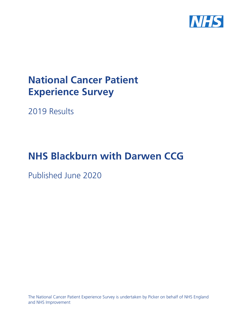

# **National Cancer Patient Experience Survey**

2019 Results

# **NHS Blackburn with Darwen CCG**

Published June 2020

The National Cancer Patient Experience Survey is undertaken by Picker on behalf of NHS England and NHS Improvement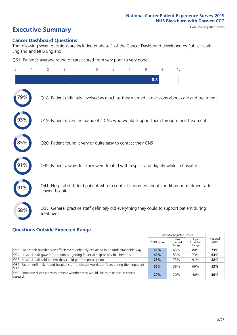# **Executive Summary** Case Mix Adjusted scores

#### **Cancer Dashboard Questions**

The following seven questions are included in phase 1 of the Cancer Dashboard developed by Public Health England and NHS England:

Q61. Patient's average rating of care scored from very poor to very good

| $\Omega$ | 2                                                             | 3 | $\overline{4}$ | 5 | 6 | 7 | 8   | 9 | 10                                                                                            |
|----------|---------------------------------------------------------------|---|----------------|---|---|---|-----|---|-----------------------------------------------------------------------------------------------|
|          |                                                               |   |                |   |   |   | 8.8 |   |                                                                                               |
|          |                                                               |   |                |   |   |   |     |   | Q18. Patient definitely involved as much as they wanted in decisions about care and treatment |
|          |                                                               |   |                |   |   |   |     |   | Q19. Patient given the name of a CNS who would support them through their treatment           |
| $85\%$   | Q20. Patient found it very or quite easy to contact their CNS |   |                |   |   |   |     |   |                                                                                               |
|          |                                                               |   |                |   |   |   |     |   | Q39. Patient always felt they were treated with respect and dignity while in hospital         |
|          | leaving hospital                                              |   |                |   |   |   |     |   | Q41. Hospital staff told patient who to contact if worried about condition or treatment after |
| 58%      | treatment                                                     |   |                |   |   |   |     |   | Q55. General practice staff definitely did everything they could to support patient during    |

### **Questions Outside Expected Range**

|                                                                                                          |            | Case Mix Adjusted Scores   |                            |                   |
|----------------------------------------------------------------------------------------------------------|------------|----------------------------|----------------------------|-------------------|
|                                                                                                          | 2019 Score | Lower<br>Expected<br>Range | Upper<br>Expected<br>Range | National<br>Score |
| Q15. Patient felt possible side effects were definitely explained in an understandable way               | 61%        | 66%                        | 80%                        | 73%               |
| Q24. Hospital staff gave information on getting financial help or possible benefits                      | 49%        | 53%                        | 73%                        | 63%               |
| Q25. Hospital staff told patient they could get free prescriptions                                       | 73%        | 73%                        | 91%                        | 82%               |
| O37. Patient definitely found hospital staff to discuss worries or fears during their inpatient<br>visit | 36%        | 38%                        | 66%                        | 52%               |
| Q60. Someone discussed with patient whether they would like to take part in cancer<br>research           | 20%        | 20%                        | 40%                        | 30%               |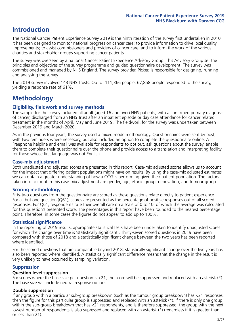# **Introduction**

The National Cancer Patient Experience Survey 2019 is the ninth iteration of the survey first undertaken in 2010. It has been designed to monitor national progress on cancer care; to provide information to drive local quality improvements; to assist commissioners and providers of cancer care; and to inform the work of the various charities and stakeholder groups supporting cancer patients.

The survey was overseen by a national Cancer Patient Experience Advisory Group. This Advisory Group set the principles and objectives of the survey programme and guided questionnaire development. The survey was commissioned and managed by NHS England. The survey provider, Picker, is responsible for designing, running and analysing the survey.

The 2019 survey involved 143 NHS Trusts. Out of 111,366 people, 67,858 people responded to the survey, yielding a response rate of 61%.

# **Methodology**

#### **Eligibility, fieldwork and survey methods**

The sample for the survey included all adult (aged 16 and over) NHS patients, with a confirmed primary diagnosis of cancer, discharged from an NHS Trust after an inpatient episode or day case attendance for cancer related treatment in the months of April, May and June 2019. The fieldwork for the survey was undertaken between December 2019 and March 2020.

As in the previous four years, the survey used a mixed mode methodology. Questionnaires were sent by post, with two reminders where necessary, but also included an option to complete the questionnaire online. A Freephone helpline and email was available for respondents to opt out, ask questions about the survey, enable them to complete their questionnaire over the phone and provide access to a translation and interpreting facility for those whose first language was not English.

#### **Case-mix adjustment**

Both unadjusted and adjusted scores are presented in this report. Case-mix adjusted scores allows us to account for the impact that differing patient populations might have on results. By using the case-mix adjusted estimates we can obtain a greater understanding of how a CCG is performing given their patient population. The factors taken into account in this case-mix adjustment are gender, age, ethnic group, deprivation, and tumour group.

#### **Scoring methodology**

Fifty-two questions from the questionnaire are scored as these questions relate directly to patient experience. For all but one question (Q61), scores are presented as the percentage of positive responses out of all scored responses. For Q61, respondents rate their overall care on a scale of 0 to 10, of which the average was calculated for this question's presented score. The percentages in this report have been rounded to the nearest percentage point. Therefore, in some cases the figures do not appear to add up to 100%.

#### **Statistical significance**

In the reporting of 2019 results, appropriate statistical tests have been undertaken to identify unadjusted scores for which the change over time is 'statistically significant'. Thirty-seven scored questions in 2019 have been compared with those of 2018 and a statistically significant change between the two years has been reported where identified.

For the scored questions that are comparable beyond 2018, statistically significant change over the five years has also been reported where identified. A statistically significant difference means that the change in the result is very unlikely to have occurred by sampling variation.

#### **Suppression**

#### **Question-level suppression**

For scores where the base size per question is  $<$ 21, the score will be suppressed and replaced with an asterisk (\*). The base size will include neutral response options.

#### **Double suppression**

If any group within a particular sub-group breakdown (such as the tumour group breakdown) has <21 responses, then the figure for this particular group is suppressed and replaced with an asterisk (\*). If there is only one group within the sub-group breakdown that has <21 respondents, and is therefore suppressed, the group with the next lowest number of respondents is also supressed and replaced with an asterisk (\*) (regardless if it is greater than or less than 21).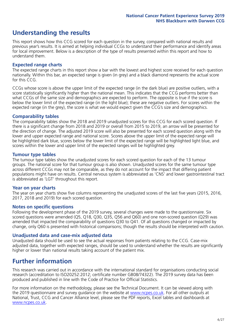# **Understanding the results**

This report shows how this CCG scored for each question in the survey, compared with national results and previous year's results. It is aimed at helping individual CCGs to understand their performance and identify areas for local improvement. Below is a description of the type of results presented within this report and how to understand them.

#### **Expected range charts**

The expected range charts in this report show a bar with the lowest and highest score received for each question nationally. Within this bar, an expected range is given (in grey) and a black diamond represents the actual score for this CCG.

CCGs whose score is above the upper limit of the expected range (in the dark blue) are positive outliers, with a score statistically significantly higher than the national mean. This indicates that the CCG performs better than what CCGs of the same size and demographics are expected to perform. The opposite is true if the score is below the lower limit of the expected range (in the light blue); these are negative outliers. For scores within the expected range (in the grey), the score is what we would expect given the CCG's size and demographics.

#### **Comparability tables**

The comparability tables show the 2018 and 2019 unadjusted scores for this CCG for each scored question. If there is a significant change from 2018 and 2019 or overall from 2015 to 2019, an arrow will be presented for the direction of change. The adjusted 2019 score will also be presented for each scored question along with the lower and upper expected range and national score. Scores above the upper limit of the expected range will be highlighted dark blue, scores below the lower limit of the expected range will be highlighted light blue, and scores within the lower and upper limit of the expected ranges will be highlighted grey.

#### **Tumour type tables**

The tumour type tables show the unadjusted scores for each scored question for each of the 13 tumour groups. The national score for that tumour group is also shown. Unadjusted scores for the same tumour type across different CCGs may not be comparable, as they do not account for the impact that differing patient populations might have on results. Central nervous system is abbreviated as 'CNS' and lower gastrointestinal tract is abbreviated as 'LGT' throughout this report.

#### **Year on year charts**

The year on year charts show five columns representing the unadjusted scores of the last five years (2015, 2016, 2017, 2018 and 2019) for each scored question.

#### **Notes on specific questions**

Following the development phase of the 2019 survey, several changes were made to the questionnaire. Six scored questions were amended (Q5, Q18, Q30, Q35, Q56 and Q60) and one non-scored question (Q29) was amended that impacted the comparability of questions Q30 to Q41. Of all questions changed or impacted by change, only Q60 is presented with historical comparisons; though the results should be interpreted with caution.

#### **Unadjusted data and case-mix adjusted data**

Unadjusted data should be used to see the actual responses from patients relating to the CCG. Case-mix adjusted data, together with expected ranges, should be used to understand whether the results are significantly higher or lower than national results taking account of the patient mix.

### **Further information**

This research was carried out in accordance with the international standard for organisations conducting social research (accreditation to ISO20252:2012; certificate number GB08/74322). The 2019 survey data has been produced and published in line with the Code of Practice for Official Statistics.

For more information on the methodology, please see the Technical Document. It can be viewed along with the 2019 questionnaire and survey quidance on the website at [www.ncpes.co.uk](https://www.ncpes.co.uk/supporting-documents). For all other outputs at National, Trust, CCG and Cancer Alliance level, please see the PDF reports, Excel tables and dashboards at [www.ncpes.co.uk.](https://www.ncpes.co.uk/current-results)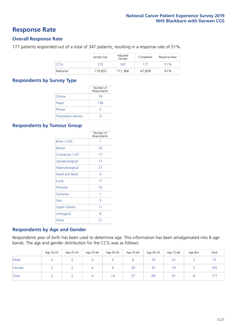### **Response Rate**

#### **Overall Response Rate**

177 patients responded out of a total of 347 patients, resulting in a response rate of 51%.

|          | Sample Size | Adjusted<br>Sample | Completed | Response Rate |
|----------|-------------|--------------------|-----------|---------------|
| CCG      | 372         | 347                | 177       | 51%           |
| National | 119.855     | 111,366            | 67,858    | 61%           |

#### **Respondents by Survey Type**

|                            | Number of<br>Respondents |
|----------------------------|--------------------------|
| Online                     | 19                       |
| Paper                      | 158                      |
| Phone                      | O                        |
| <b>Translation Service</b> |                          |

#### **Respondents by Tumour Group**

|                      | Number of<br>Respondents |
|----------------------|--------------------------|
| <b>Brain / CNS</b>   | 1                        |
| <b>Breast</b>        | 32                       |
| Colorectal / LGT     | 17                       |
| Gynaecological       | 13                       |
| Haematological       | 27                       |
| <b>Head and Neck</b> | 4                        |
| Lung                 | 17                       |
| Prostate             | 16                       |
| Sarcoma              | 1                        |
| Skin                 | 3                        |
| Upper Gastro         | 11                       |
| Urological           | 8                        |
| Other                | 27                       |

#### **Respondents by Age and Gender**

Respondents year of birth has been used to determine age. This information has been amalgamated into 8 age bands. The age and gender distribution for the CCG was as follows:

|        | Age 16-24 | Age 25-34 | Age 35-44 | Age 45-54 | Age 55-64 | Age 65-74 | Age 75-84 | Age 85+ | Total |
|--------|-----------|-----------|-----------|-----------|-----------|-----------|-----------|---------|-------|
| Male   |           |           |           |           | o         | 34        | 22        |         |       |
| Female |           |           |           |           | 29        | 35        | 19        |         | 105   |
| Total  |           |           |           | 14        | 37        | 69        | 41        |         |       |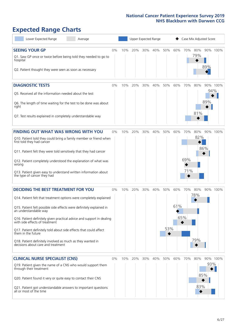# **Expected Range Charts**

| Lower Expected Range<br>Average                                                                                                                                                                                                                                                                                                                                                                                                                                                                                             |       |     | Upper Expected Range |     |     |            |            |                   | Case Mix Adjusted Score |            |          |
|-----------------------------------------------------------------------------------------------------------------------------------------------------------------------------------------------------------------------------------------------------------------------------------------------------------------------------------------------------------------------------------------------------------------------------------------------------------------------------------------------------------------------------|-------|-----|----------------------|-----|-----|------------|------------|-------------------|-------------------------|------------|----------|
| <b>SEEING YOUR GP</b><br>Q1. Saw GP once or twice before being told they needed to go to<br>hospital<br>Q2. Patient thought they were seen as soon as necessary                                                                                                                                                                                                                                                                                                                                                             | 0%    | 10% | 20%                  | 30% | 40% | 50%        | 60%        | 70%               | 80%<br>79%              | 89%        | 90% 100% |
| <b>DIAGNOSTIC TESTS</b><br>Q5. Received all the information needed about the test<br>Q6. The length of time waiting for the test to be done was about<br>right<br>Q7. Test results explained in completely understandable way                                                                                                                                                                                                                                                                                               | 0%    | 10% | 20%                  | 30% | 40% | 50%        | 60%        | 70%               | 80%<br>81%              | 94%<br>89% | 90% 100% |
| <b>FINDING OUT WHAT WAS WRONG WITH YOU</b><br>Q10. Patient told they could bring a family member or friend when<br>first told they had cancer<br>Q11. Patient felt they were told sensitively that they had cancer<br>Q12. Patient completely understood the explanation of what was<br>wrong<br>Q13. Patient given easy to understand written information about<br>the type of cancer they had                                                                                                                             | 0%    | 10% | 20%                  | 30% | 40% | 50%        | 60%        | 70%<br>69%<br>71% | 80%<br>82%              | 86%        | 90% 100% |
| <b>DECIDING THE BEST TREATMENT FOR YOU</b><br>Q14. Patient felt that treatment options were completely explained<br>Q15. Patient felt possible side effects were definitely explained in<br>an understandable way<br>Q16. Patient definitely given practical advice and support in dealing<br>with side effects of treatment<br>Q17. Patient definitely told about side effects that could affect<br>them in the future<br>Q18. Patient definitely involved as much as they wanted in<br>decisions about care and treatment | 0%    |     | 10% 20%              | 30% | 40% | 50%<br>53% | 60%<br>61% | 70%<br>65%        | 80%<br>78%<br>79%       |            | 90% 100% |
| <b>CLINICAL NURSE SPECIALIST (CNS)</b><br>Q19. Patient given the name of a CNS who would support them<br>through their treatment<br>Q20. Patient found it very or quite easy to contact their CNS<br>Q21. Patient got understandable answers to important questions<br>all or most of the time                                                                                                                                                                                                                              | $0\%$ | 10% | 20%                  | 30% | 40% | 50%        | 60%        | 70%               | 80%<br>83%              | 93%<br>85% | 90% 100% |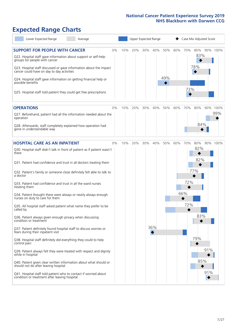# **Expected Range Charts**

| Lower Expected Range<br>Average                                                                                                                                                                                                                               |    |     |     | Upper Expected Range |     |            |     |     | Case Mix Adjusted Score |     |          |
|---------------------------------------------------------------------------------------------------------------------------------------------------------------------------------------------------------------------------------------------------------------|----|-----|-----|----------------------|-----|------------|-----|-----|-------------------------|-----|----------|
| <b>SUPPORT FOR PEOPLE WITH CANCER</b><br>Q22. Hospital staff gave information about support or self-help<br>groups for people with cancer<br>Q23. Hospital staff discussed or gave information about the impact<br>cancer could have on day to day activities | 0% | 10% | 20% | 30%                  | 40% | 50%<br>49% | 60% | 70% | 80%<br>83%<br>78%       |     | 90% 100% |
| Q24. Hospital staff gave information on getting financial help or<br>possible benefits<br>Q25. Hospital staff told patient they could get free prescriptions                                                                                                  |    |     |     |                      |     |            |     | 73% |                         |     |          |
| <b>OPERATIONS</b>                                                                                                                                                                                                                                             | 0% | 10% | 20% | 30%                  | 40% | 50%        | 60% | 70% | 80%                     |     | 90% 100% |
| Q27. Beforehand, patient had all the information needed about the<br>operation<br>Q28. Afterwards, staff completely explained how operation had<br>gone in understandable way                                                                                 |    |     |     |                      |     |            |     |     | 84%                     |     | 99%      |
| <b>HOSPITAL CARE AS AN INPATIENT</b>                                                                                                                                                                                                                          | 0% | 10% | 20% | 30%                  | 40% | 50%        | 60% | 70% | 80%                     |     | 90% 100% |
| Q30. Hospital staff didn't talk in front of patient as if patient wasn't<br>there                                                                                                                                                                             |    |     |     |                      |     |            |     |     | 82%                     |     |          |
| Q31. Patient had confidence and trust in all doctors treating them                                                                                                                                                                                            |    |     |     |                      |     |            |     |     | 82%                     |     |          |
| Q32. Patient's family or someone close definitely felt able to talk to<br>a doctor                                                                                                                                                                            |    |     |     |                      |     |            |     |     | 77%                     |     |          |
| Q33. Patient had confidence and trust in all the ward nurses<br>treating them                                                                                                                                                                                 |    |     |     |                      |     |            |     | 72% |                         |     |          |
| Q34. Patient thought there were always or nearly always enough<br>nurses on duty to care for them                                                                                                                                                             |    |     |     |                      |     |            |     | 66% |                         |     |          |
| Q35. All hospital staff asked patient what name they prefer to be<br>called by                                                                                                                                                                                |    |     |     |                      |     |            |     | 72% |                         |     |          |
| Q36. Patient always given enough privacy when discussing<br>condition or treatment                                                                                                                                                                            |    |     |     |                      |     |            |     |     | 83%                     |     |          |
| Q37. Patient definitely found hospital staff to discuss worries or<br>fears during their inpatient visit                                                                                                                                                      |    |     |     |                      | 36% |            |     |     |                         |     |          |
| Q38. Hospital staff definitely did everything they could to help<br>control pain                                                                                                                                                                              |    |     |     |                      |     |            |     |     | 79%                     |     |          |
| Q39. Patient always felt they were treated with respect and dignity<br>while in hospital                                                                                                                                                                      |    |     |     |                      |     |            |     |     |                         | 91% |          |
| Q40. Patient given clear written information about what should or<br>should not do after leaving hospital                                                                                                                                                     |    |     |     |                      |     |            |     |     | 85%                     |     |          |
| Q41. Hospital staff told patient who to contact if worried about<br>condition or treatment after leaving hospital                                                                                                                                             |    |     |     |                      |     |            |     |     |                         | 91% |          |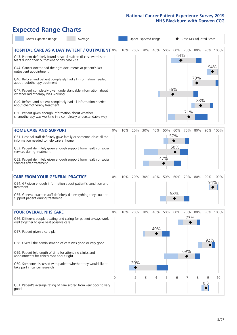# **Expected Range Charts**

| Lower Expected Range<br>Average                                                                                                   |          |     |                | Upper Expected Range |     |     |                | Case Mix Adjusted Score |     |          |          |
|-----------------------------------------------------------------------------------------------------------------------------------|----------|-----|----------------|----------------------|-----|-----|----------------|-------------------------|-----|----------|----------|
| <b>HOSPITAL CARE AS A DAY PATIENT / OUTPATIENT 0%</b><br>Q43. Patient definitely found hospital staff to discuss worries or       |          | 10% | 20%            | 30%                  | 40% | 50% | 60% 70%<br>64% |                         | 80% | 90% 100% |          |
| fears during their outpatient or day case visit<br>Q44. Cancer doctor had the right documents at patient's last                   |          |     |                |                      |     |     |                |                         |     | 94%      |          |
| outpatient appointment<br>Q46. Beforehand patient completely had all information needed                                           |          |     |                |                      |     |     |                |                         | 79% |          |          |
| about radiotherapy treatment<br>Q47. Patient completely given understandable information about                                    |          |     |                |                      |     |     | 56%            |                         |     |          |          |
| whether radiotherapy was working<br>Q49. Beforehand patient completely had all information needed<br>about chemotherapy treatment |          |     |                |                      |     |     |                |                         | 83% |          |          |
| Q50. Patient given enough information about whether<br>chemotherapy was working in a completely understandable way                |          |     |                |                      |     |     |                | 71%                     |     |          |          |
| <b>HOME CARE AND SUPPORT</b>                                                                                                      | 0%       | 10% | 20%            | 30%                  | 40% | 50% | 60%            | 70%                     | 80% | 90% 100% |          |
| Q51. Hospital staff definitely gave family or someone close all the<br>information needed to help care at home                    |          |     |                |                      |     |     | 57%            |                         |     |          |          |
| Q52. Patient definitely given enough support from health or social<br>services during treatment                                   |          |     |                |                      |     |     | 58%            |                         |     |          |          |
| Q53. Patient definitely given enough support from health or social<br>services after treatment                                    |          |     |                |                      |     | 47% |                |                         |     |          |          |
| <b>CARE FROM YOUR GENERAL PRACTICE</b>                                                                                            | 0%       | 10% | 20%            | 30%                  | 40% | 50% | 60%            | 70%                     | 80% | 90% 100% |          |
| Q54. GP given enough information about patient's condition and<br>treatment                                                       |          |     |                |                      |     |     |                |                         |     | 94%      |          |
| Q55. General practice staff definitely did everything they could to<br>support patient during treatment                           |          |     |                |                      |     |     | 58%            |                         |     |          |          |
| <b>YOUR OVERALL NHS CARE</b>                                                                                                      | $0\%$    | 10% | 20%            | 30%                  | 40% | 50% | 60%            | 70%                     | 80% |          | 90% 100% |
| Q56. Different people treating and caring for patient always work<br>well together to give best possible care                     |          |     |                |                      |     |     |                | 73%                     |     |          |          |
| Q57. Patient given a care plan                                                                                                    |          |     |                |                      | 40% |     |                |                         |     |          |          |
| Q58. Overall the administration of care was good or very good                                                                     |          |     |                |                      |     |     |                |                         |     | 92%      |          |
| Q59. Patient felt length of time for attending clinics and<br>appointments for cancer was about right                             |          |     |                |                      |     |     |                | 69%                     |     |          |          |
| Q60. Someone discussed with patient whether they would like to<br>take part in cancer research                                    |          |     | 20%            |                      |     |     |                |                         |     |          |          |
|                                                                                                                                   | $\Omega$ | 1   | $\overline{2}$ | 3                    | 4   | 5   | 6              | 7                       | 8   | 9<br>8.8 | 10       |
| Q61. Patient's average rating of care scored from very poor to very<br>good                                                       |          |     |                |                      |     |     |                |                         |     |          |          |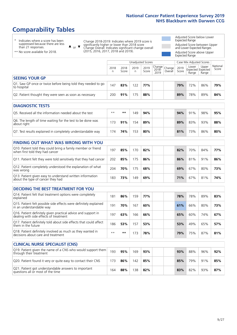# **Comparability Tables**

\* Indicates where a score has been suppressed because there are less than 21 responses.

\*\* No score available for 2018.

 $\triangle$  or  $\nabla$ 

Change 2018-2019: Indicates where 2019 score is significantly higher or lower than 2018 score Change Overall: Indicates significant change overall (2015, 2016, 2017, 2018 and 2019).

Adjusted Score below Lower Expected Range Adjusted Score between Upper and Lower Expected Ranges Adjusted Score above Upper Expected Range

|                                                                             | Case Mix Adjusted Scores<br><b>Unadjusted Scores</b> |               |           |               |                                                    |         |               |                |                                     |                   |
|-----------------------------------------------------------------------------|------------------------------------------------------|---------------|-----------|---------------|----------------------------------------------------|---------|---------------|----------------|-------------------------------------|-------------------|
|                                                                             | 2018<br>n                                            | 2018<br>Score | 2019<br>n | 2019<br>Score | $\sim$   Change   Change   $\sim$<br>2018-<br>2019 | Overall | 2019<br>Score | Lower<br>Range | Upper<br>Expected Expected<br>Range | National<br>Score |
| <b>SEEING YOUR GP</b>                                                       |                                                      |               |           |               |                                                    |         |               |                |                                     |                   |
| Q1. Saw GP once or twice before being told they needed to go<br>to hospital | 147                                                  | 83%           | 122       | 77%           |                                                    |         | 79%           | 72%            | 86%                                 | 79%               |
| Q2. Patient thought they were seen as soon as necessary                     | 200                                                  | 91%           | 175       | 88%           |                                                    |         | 89%           | 78%            | 89%                                 | 84%               |

| <b>DIAGNOSTIC TESTS</b>                                                   |      |     |     |     |     |     |     |     |
|---------------------------------------------------------------------------|------|-----|-----|-----|-----|-----|-----|-----|
| Q5. Received all the information needed about the test                    | $**$ | **  | 149 | 94% | 94% | 91% | 98% | 95% |
| Q6. The length of time waiting for the test to be done was<br>about right | 173  | 91% | 154 | 89% | 89% | 83% | 93% | 88% |
| Q7. Test results explained in completely understandable way               | 174  | 74% | 153 | 80% | 81% | 73% | 86% | 80% |

| <b>FINDING OUT WHAT WAS WRONG WITH YOU</b>                                                      |     |     |     |     |     |     |     |     |
|-------------------------------------------------------------------------------------------------|-----|-----|-----|-----|-----|-----|-----|-----|
| Q10. Patient told they could bring a family member or friend<br>when first told they had cancer | 197 | 85% | 170 | 82% | 82% | 70% | 84% | 77% |
| Q11. Patient felt they were told sensitively that they had cancer                               | 202 | 85% | 175 | 86% | 86% | 81% | 91% | 86% |
| Q12. Patient completely understood the explanation of what<br>was wrong                         | 204 | 70% | 175 | 68% | 69% | 67% | 80% | 73% |
| Q13. Patient given easy to understand written information<br>about the type of cancer they had  | 183 | 73% | 149 | 69% | 71% | 67% | 81% | 74% |

| <b>DECIDING THE BEST TREATMENT FOR YOU</b>                                                              |      |     |     |     |     |     |     |     |
|---------------------------------------------------------------------------------------------------------|------|-----|-----|-----|-----|-----|-----|-----|
| Q14. Patient felt that treatment options were completely<br>explained                                   | 181  | 86% | 159 | 77% | 78% | 78% | 89% | 83% |
| Q15. Patient felt possible side effects were definitely explained<br>in an understandable way           | 191  | 70% | 167 | 60% | 61% | 66% | 80% | 73% |
| Q16. Patient definitely given practical advice and support in<br>dealing with side effects of treatment | 197  | 63% | 166 | 66% | 65% | 60% | 74% | 67% |
| Q17. Patient definitely told about side effects that could affect<br>I them in the future               | 186  | 53% | 157 | 53% | 53% | 49% | 65% | 57% |
| Q18. Patient definitely involved as much as they wanted in<br>decisions about care and treatment        | $**$ | **  | 173 | 78% | 79% | 75% | 87% | 81% |

| <b>CLINICAL NURSE SPECIALIST (CNS)</b>                                                    |     |     |     |     |     |     |     |     |
|-------------------------------------------------------------------------------------------|-----|-----|-----|-----|-----|-----|-----|-----|
| Q19. Patient given the name of a CNS who would support them<br>through their treatment    | 193 | 95% | 169 | 93% | 93% | 88% | 96% | 92% |
| Q20. Patient found it very or quite easy to contact their CNS                             | 173 | 86% | 142 | 85% | 85% | 79% | 91% | 85% |
| Q21. Patient got understandable answers to important<br>questions all or most of the time | 164 | 88% | 138 | 82% | 83% | 82% | 93% | 87% |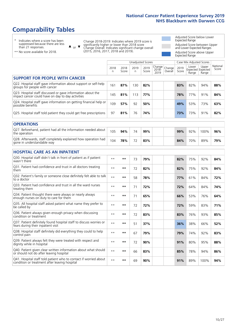# **Comparability Tables**

\* Indicates where a score has been suppressed because there are less than 21 responses.

\*\* No score available for 2018.

 $\triangle$  or  $\nabla$ 

Change 2018-2019: Indicates where 2019 score is significantly higher or lower than 2018 score Change Overall: Indicates significant change overall (2015, 2016, 2017, 2018 and 2019).

Adjusted Score below Lower Expected Range Adjusted Score between Upper and Lower Expected Ranges Adjusted Score above Upper Expected Range

|                                                                                                                   |              |               | <b>Unadjusted Scores</b> |               |                         |                   |               | Case Mix Adjusted Scores            |                |                   |
|-------------------------------------------------------------------------------------------------------------------|--------------|---------------|--------------------------|---------------|-------------------------|-------------------|---------------|-------------------------------------|----------------|-------------------|
|                                                                                                                   | 2018<br>n    | 2018<br>Score | 2019<br>n.               | 2019<br>Score | Change<br>2018-<br>2019 | Change<br>Overall | 2019<br>Score | Lower<br>Expected Expected<br>Range | Upper<br>Range | National<br>Score |
| <b>SUPPORT FOR PEOPLE WITH CANCER</b>                                                                             |              |               |                          |               |                         |                   |               |                                     |                |                   |
| Q22. Hospital staff gave information about support or self-help<br>groups for people with cancer                  | 161          | 87%           | 130                      | 82%           |                         |                   | 83%           | 82%                                 | 94%            | 88%               |
| Q23. Hospital staff discussed or gave information about the<br>impact cancer could have on day to day activities  | 145          | 81%           | 113                      | 77%           |                         |                   | 78%           | 77%                                 | 91%            | 84%               |
| Q24. Hospital staff gave information on getting financial help or<br>possible benefits                            | 109          | 57%           | 92                       | 50%           |                         |                   | 49%           | 53%                                 | 73%            | 63%               |
| Q25. Hospital staff told patient they could get free prescriptions                                                | 97           | 81%           | 76                       | 74%           |                         |                   | 73%           | 73%                                 | 91%            | 82%               |
| <b>OPERATIONS</b>                                                                                                 |              |               |                          |               |                         |                   |               |                                     |                |                   |
| Q27. Beforehand, patient had all the information needed about<br>the operation                                    | 105          | 94%           | 74                       | 99%           |                         |                   | 99%           | 92%                                 | 100%           | 96%               |
| Q28. Afterwards, staff completely explained how operation had<br>gone in understandable way                       | 104          | 78%           | 72                       | 83%           |                         |                   | 84%           | 70%                                 | 89%            | 79%               |
| <b>HOSPITAL CARE AS AN INPATIENT</b>                                                                              |              |               |                          |               |                         |                   |               |                                     |                |                   |
| Q30. Hospital staff didn't talk in front of patient as if patient<br>wasn't there                                 | $* *$        | **            | 73                       | 79%           |                         |                   | 82%           | 75%                                 | 92%            | 84%               |
| Q31. Patient had confidence and trust in all doctors treating<br>them                                             | $* *$        | $***$         | 72                       | 82%           |                         |                   | 82%           | 75%                                 | 92%            | 84%               |
| Q32. Patient's family or someone close definitely felt able to talk<br>to a doctor                                | $* *$        | $***$         | 58                       | 78%           |                         |                   | 77%           | 61%                                 | 84%            | 72%               |
| Q33. Patient had confidence and trust in all the ward nurses<br>treating them                                     | $\star\star$ | **            | 71                       | 72%           |                         |                   | 72%           | 64%                                 | 84%            | 74%               |
| Q34. Patient thought there were always or nearly always<br>enough nurses on duty to care for them                 | $* *$        | **            | 71                       | 65%           |                         |                   | 66%           | 53%                                 | 76%            | 64%               |
| Q35. All hospital staff asked patient what name they prefer to<br>be called by                                    | $* *$        | **            | 72                       | 72%           |                         |                   | 72%           | 59%                                 | 83%            | 71%               |
| Q36. Patient always given enough privacy when discussing<br>condition or treatment                                | $**$         | $***$         | 72                       | 83%           |                         |                   | 83%           | 76%                                 | 93%            | 85%               |
| Q37. Patient definitely found hospital staff to discuss worries or<br>fears during their inpatient visit          | $**$         | **            | 51                       | 37%           |                         |                   | 36%           | 38%                                 | 66%            | 52%               |
| Q38. Hospital staff definitely did everything they could to help<br>control pain                                  | $* *$        | $***$         | 67                       | 79%           |                         |                   | 79%           | 74%                                 | 92%            | 83%               |
| Q39. Patient always felt they were treated with respect and<br>dignity while in hospital                          | $***$        | **            | 72                       | 90%           |                         |                   | 91%           | 80%                                 | 95%            | 88%               |
| Q40. Patient given clear written information about what should<br>or should not do after leaving hospital         | $**$         | **            | 66                       | 83%           |                         |                   | 85%           | 78%                                 | 94%            | 86%               |
| Q41. Hospital staff told patient who to contact if worried about<br>condition or treatment after leaving hospital | $**$         | **            | 69                       | 90%           |                         |                   | 91%           | 89%                                 | 100%           | 94%               |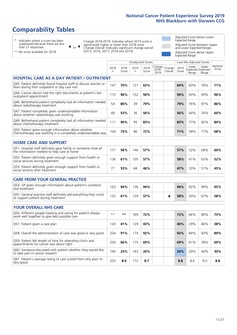# **Comparability Tables**

\* Indicates where a score has been suppressed because there are less than 21 responses.

\*\* No score available for 2018.

 $\triangle$  or  $\nabla$ 

Change 2018-2019: Indicates where 2019 score is significantly higher or lower than 2018 score Change Overall: Indicates significant change overall (2015, 2016, 2017, 2018 and 2019).

Adjusted Score below Lower Expected Range Adjusted Score between Upper and Lower Expected Ranges Adjusted Score above Upper Expected Range

|                                                                                                                       |              |               |            | Unadjusted Scores |                         |                   |               | Case Mix Adjusted Scores |                                     |                   |
|-----------------------------------------------------------------------------------------------------------------------|--------------|---------------|------------|-------------------|-------------------------|-------------------|---------------|--------------------------|-------------------------------------|-------------------|
|                                                                                                                       | 2018<br>n    | 2018<br>Score | 2019<br>n. | 2019<br>Score     | Change<br>2018-<br>2019 | Change<br>Overall | 2019<br>Score | Lower<br>Range           | Upper<br>Expected Expected<br>Range | National<br>Score |
| <b>HOSPITAL CARE AS A DAY PATIENT / OUTPATIENT</b>                                                                    |              |               |            |                   |                         |                   |               |                          |                                     |                   |
| Q43. Patient definitely found hospital staff to discuss worries or<br>fears during their outpatient or day case visit | 147          | 70%           | 127        | 63%               |                         |                   | 64%           | 63%                      | 78%                                 | 71%               |
| Q44. Cancer doctor had the right documents at patient's last<br>outpatient appointment                                | 175          | 96%           | 152        | 94%               |                         |                   | 94%           | 93%                      | 99%                                 | 96%               |
| Q46. Beforehand patient completely had all information needed<br>about radiotherapy treatment                         | 54           | 80%           | 39         | 79%               |                         |                   | 79%           | 76%                      | 97%                                 | 86%               |
| Q47. Patient completely given understandable information<br>about whether radiotherapy was working                    | 49           | 53%           | 36         | 56%               |                         |                   | 56%           | 44%                      | 76%                                 | 60%               |
| Q49. Beforehand patient completely had all information needed<br>about chemotherapy treatment                         | 111          | 90%           | 95         | 83%               |                         |                   | 83%           | 77%                      | 92%                                 | 84%               |
| Q50. Patient given enough information about whether<br>chemotherapy was working in a completely understandable way    | 104          | 75%           | 86         | 72%               |                         |                   | 71%           | 58%                      | 77%                                 | 68%               |
| <b>HOME CARE AND SUPPORT</b>                                                                                          |              |               |            |                   |                         |                   |               |                          |                                     |                   |
| Q51. Hospital staff definitely gave family or someone close all<br>the information needed to help care at home        | 171          | 58%           | 146        | 57%               |                         |                   | 57%           | 52%                      | 68%                                 | 60%               |
| Q52. Patient definitely given enough support from health or<br>social services during treatment                       | 136          | 61%           | 105        | 57%               |                         |                   | 58%           | 41%                      | 63%                                 | 52%               |
| Q53. Patient definitely given enough support from health or<br>social services after treatment                        | 77           | 53%           | 68         | 46%               |                         |                   | 47%           | 33%                      | 57%                                 | 45%               |
| <b>CARE FROM YOUR GENERAL PRACTICE</b>                                                                                |              |               |            |                   |                         |                   |               |                          |                                     |                   |
| Q54. GP given enough information about patient's condition<br>and treatment                                           | 163          | 94%           | 136        | 94%               |                         |                   | 94%           | 92%                      | 99%                                 | 95%               |
| Q55. General practice staff definitely did everything they could<br>to support patient during treatment               | 152          | 61%           | 129        | 57%               |                         | ▼                 | 58%           | 50%                      | 67%                                 | 58%               |
| <b>YOUR OVERALL NHS CARE</b>                                                                                          |              |               |            |                   |                         |                   |               |                          |                                     |                   |
| Q56. Different people treating and caring for patient always<br>work well together to give best possible care         | $\star\star$ | $***$         | 169        | 72%               |                         |                   | 73%           | 66%                      | 80%                                 | 73%               |
| Q57. Patient given a care plan                                                                                        | 143          | 41%           | 129        | 43%               |                         |                   | 40%           | 29%                      | 46%                                 | 38%               |
| Q58. Overall the administration of care was good or very good                                                         | 204          | 91%           | 174        | 92%               |                         |                   | 92%           | 84%                      | 93%                                 | 89%               |
| Q59. Patient felt length of time for attending clinics and<br>appointments for cancer was about right                 | 200          | 66%           | 175        | 69%               |                         |                   | 69%           | 61%                      | 78%                                 | 69%               |
| Q60. Someone discussed with patient whether they would like<br>to take part in cancer research                        | 190          | 23%           | 163        | 20%               |                         |                   | 20%           | 20%                      | 40%                                 | 30%               |
| Q61. Patient's average rating of care scored from very poor to<br>very good                                           | 203          | 8.9           | 173        | 8.7               |                         |                   | 8.8           | 8.6                      | 9.0                                 | 8.8               |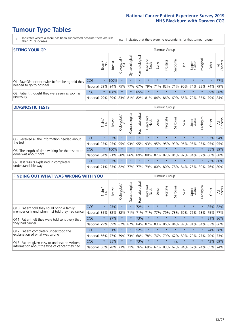- \* Indicates where a score has been suppressed because there are less than 21 responses.
- n.a. Indicates that there were no respondents for that tumour group.

| <b>SEEING YOUR GP</b>                           |            |              |               |                   |                |                |                  |                       | Tumour Group |         |         |                 |                                                 |         |                |
|-------------------------------------------------|------------|--------------|---------------|-------------------|----------------|----------------|------------------|-----------------------|--------------|---------|---------|-----------------|-------------------------------------------------|---------|----------------|
|                                                 |            | Brain<br>CNS | <b>Breast</b> | Colorectal<br>LGT | Gynaecological | Haematological | Head and<br>Neck | Lung                  | Prostate     | Sarcoma | Skin    | Upper<br>Gastro | Urological                                      | Other   | All<br>Cancers |
| Q1. Saw GP once or twice before being told they | <b>CCG</b> | $\star$      | 100%          | $\star$           | $\star$        | $\star$        | $\star$          | $\star$               | $\star$      | $\star$ | $\star$ | $\star$         | $\star$                                         | $\star$ | 77%            |
| needed to go to hospital                        | National   |              | 59% 94% 75%   |                   | 77%            |                |                  | 67%   79%   71%   82% |              |         |         |                 | 71% 90% 74% 83% 74% 79%                         |         |                |
| Q2. Patient thought they were seen as soon as   | <b>CCG</b> | $\star$      | 100%          |                   |                | 85%            | $\star$          | $\star$               | $\star$      | $\star$ | $\star$ | $\star$         | $\star$                                         |         | 89% 88%        |
| necessary                                       | National   | 79%          |               |                   |                |                |                  |                       |              |         |         |                 | 89% 83% 81% 82% 81% 84% 86% 69% 85% 79% 85% 79% |         | 84%            |

#### **DIAGNOSTIC TESTS** Tumour Group

|                                                   |                                                                  | Brain   | <b>Breast</b> | olorectal.<br>LGT<br>Ü | Gynaecological | Haematological | Head and<br>Neck | Lung    | Prostate | Sarcoma | Skin    | Upper<br>Gastro | Irological                                  | Other | All<br>Cancers |
|---------------------------------------------------|------------------------------------------------------------------|---------|---------------|------------------------|----------------|----------------|------------------|---------|----------|---------|---------|-----------------|---------------------------------------------|-------|----------------|
| Q5. Received all the information needed about     | <b>CCG</b>                                                       | $\star$ | 93%           | $\star$                | $\star$        | $\star$        | $\star$          | $\star$ | $\star$  | $\star$ | $\star$ | $\star$         | $\star$                                     |       | 92% 94%        |
| the test                                          | National                                                         | 93%     | 95%           | 95%                    | 93%            | 95%            |                  | 93% 95% | 95%      | 93%     | 96%     | 95%             | 95%                                         | 95%   | 95%            |
| Q6. The length of time waiting for the test to be | <b>CCG</b>                                                       | $\star$ | 100%          |                        | $\star$        | $\star$        | $\star$          | $\star$ | $\star$  | $\star$ | $\star$ | $\star$         | $\star$                                     |       | 85% 89%        |
| done was about right                              | National 84% 91%                                                 |         |               | 88%                    |                |                |                  |         |          |         |         |                 | 86% 89% 88% 87% 87% 81% 87% 84% 87% 86% 88% |       |                |
| Q7. Test results explained in completely          | <b>CCG</b>                                                       | $\star$ | 93%           |                        | $\star$        | $\star$        | $\star$          | $\star$ | $\star$  | $\star$ | $\star$ | $\star$         | $\star$                                     |       | 73% 80%        |
| understandable way                                | National 71% 83% 82% 77% 77% 79% 80% 80% 78% 84% 75% 80% 76% 80% |         |               |                        |                |                |                  |         |          |         |         |                 |                                             |       |                |

| <b>FINDING OUT WHAT WAS WRONG WITH YOU</b>        |            |         |               |                 |                |                |                        |             | <b>Tumour Group</b> |         |         |                 |           |         |                |
|---------------------------------------------------|------------|---------|---------------|-----------------|----------------|----------------|------------------------|-------------|---------------------|---------|---------|-----------------|-----------|---------|----------------|
|                                                   |            | Brain   | <b>Breast</b> | ╮<br>Colorectal | Gynaecological | Haematological | ad and<br>Neck<br>Head | Lung        | Prostate            | Sarcoma | Skin    | Upper<br>Gastro | Jrologica | Other   | All<br>Cancers |
| Q10. Patient told they could bring a family       | <b>CCG</b> | $\star$ | 93%           | $\star$         | $\star$        | 72%            | $\star$                | $\star$     | $\star$             | $\star$ | $\star$ | $\star$         | $\star$   | 85%     | 82%            |
| member or friend when first told they had cancer  | National   | 85%     | 82%           | 82%             | 71%            | 71%            | 71%                    | 77%         | 79%                 | 73%     | 69%     | 76%             | 73%       | 75%     | 77%            |
| Q11. Patient felt they were told sensitively that | CCG        | $\star$ | 97%           | $\star$         | $\star$        | 73%            | $\star$                | $\star$     | $\star$             | $\star$ | $\star$ | $\star$         | $\star$   |         | 81% 86%        |
| they had cancer                                   | National   | 79%     | 89%           | 87%             | 82%            | 84%            | 87%                    | 83%         | 86%                 | 84%     | 89%     | 81%             | 84%       | 83% 86% |                |
| Q12. Patient completely understood the            | CCG        | $\star$ | 81%           |                 | $\star$        | 52%            | $\star$                | $\star$     | $\star$             |         | $\star$ | $\star$         | $\star$   | 74%     | 68%            |
| explanation of what was wrong                     | National   | 66%     | 77%           | 79%             | 73%            | 60%            | 78%                    | 76%         | 79%                 | 67%     | 80%     | 70%             | 77%       | 70%     | 73%            |
| Q13. Patient given easy to understand written     | <b>CCG</b> | $\star$ | 85%           | $\star$         | $\star$        | 73%            | $\ast$                 | $\star$     | $\star$             | n.a.    | $\star$ | $\star$         | $\star$   | 43%     | 69%            |
| information about the type of cancer they had     | National   | 66%     | 78%           | 73%             | 71%            | 76%            |                        | 69% 67% 83% |                     |         | 67% 84% | 67%             | 74%       | 65%     | 74%            |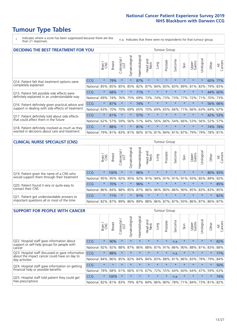\* Indicates where a score has been suppressed because there are less than 21 responses.

n.a. Indicates that there were no respondents for that tumour group.

| <b>DECIDING THE BEST TREATMENT FOR YOU</b>         |            |         |               |                             |                |                |                        |         | <b>Tumour Group</b> |         |                                         |                 |            |         |                |
|----------------------------------------------------|------------|---------|---------------|-----------------------------|----------------|----------------|------------------------|---------|---------------------|---------|-----------------------------------------|-----------------|------------|---------|----------------|
|                                                    |            | Brain   | <b>Breast</b> | olorectal.<br>LGT<br>$\cup$ | Gynaecological | Haematological | ad and<br>Neck<br>Head | Dung    | Prostate            | Sarcoma | Skin                                    | Upper<br>Gastro | Jrological | Other   | All<br>Cancers |
| Q14. Patient felt that treatment options were      | CCG        | $\star$ | 79%           | $\star$                     | $\star$        | 87%            | $\star$                | $\star$ | $\star$             | 大       | $\star$                                 | $\star$         | $^\star$   | 60%     | 77%            |
| completely explained                               | National   | 85%     | 85%           | 85%                         | 85%            | 82%            | 87%                    | 84%     | 83%                 | 83%     | 89%                                     | 81%             | 83%        | 79%     | 83%            |
| Q15. Patient felt possible side effects were       | CCG        | $\star$ | 68%           |                             | $\star$        | 71%            | $\star$                | $\star$ | $\star$             |         |                                         | $\star$         |            | 44%     | 60%            |
| definitely explained in an understandable way      | National   | 69%     | 74%           | 76%                         | 75%            | 69%            | 73%                    | 74%     | 73%                 | 73%     | 77%                                     | 72%             | 71%        | 70%     | 73%            |
| Q16. Patient definitely given practical advice and | <b>CCG</b> | $\star$ | 81%           |                             | $\star$        | 74%            | $\star$                | $\star$ | $\star$             | $\star$ | $\star$                                 | $\star$         | $\star$    |         | 56% 66%        |
| support in dealing with side effects of treatment  | National   | 63%     | 70%           | 70%                         | 69%            | 65%            | 70%                    | 69%     | 65%                 | 66%     | 71%                                     | 66%             | 63%        | 64%     | 67%            |
| Q17. Patient definitely told about side effects    | <b>CCG</b> | $\star$ | 61%           | $\star$                     | $\star$        | 57%            | $\star$                | $\star$ | $\star$             | $\star$ | $\star$                                 | $\star$         | $\star$    | 42%     | 53%            |
| that could affect them in the future               | National   | 62%     | 57%           | 59%                         | 56%            | 51%            | 64%                    | 56%     | 66%                 | 54%     | 66%                                     | 53%             | 56%        | 52%     | 57%            |
| Q18. Patient definitely involved as much as they   | <b>CCG</b> | $\star$ | 88%           | $\star$                     | $\star$        | 81%            | $\star$                | $\star$ | $\star$             | $\star$ | $\star$                                 | $\star$         | $^\star$   | 74%     | 78%            |
| wanted in decisions about care and treatment       | National   | 79%     |               |                             |                |                |                        |         |                     |         | 81% 83% 81% 80% 81% 81% 84% 81% 87% 79% |                 | 79%        | 78% 81% |                |

#### **CLINICAL NURSE SPECIALIST (CNS)** Tumour Group

|                                             |                                                                  | Brain   | <b>Breast</b>   | Colorectal<br>LGT | Gynaecologica | ক<br>O<br>aematologi | Head and<br>Neck | Lung    | Prostate | Sarcoma | Skin    | Upper<br>Gastro                     | rological | Other   | All<br>Cancers |
|---------------------------------------------|------------------------------------------------------------------|---------|-----------------|-------------------|---------------|----------------------|------------------|---------|----------|---------|---------|-------------------------------------|-----------|---------|----------------|
| Q19. Patient given the name of a CNS who    | CCG                                                              | $\star$ | 100%            |                   |               | 96%                  | $\star$          | $\star$ | $\star$  | $\star$ | $\star$ | $\star$                             |           |         | 80% 93%        |
| would support them through their treatment  | National                                                         | 95%     | 95%             | 92%               | 95%           | 92%                  | 91%              |         | 94% 91%  |         | 91% 91% | 93%                                 | 85%       | 89%     | 92%            |
| Q20. Patient found it very or quite easy to | CCG                                                              | $\star$ | 70%             |                   | $\star$       | 96%                  | $\star$          | $\star$ | $\star$  | $\star$ | $\star$ | $\star$                             | $\star$   | $\star$ | 85%            |
| contact their CNS                           | National                                                         |         | 86% 84% 88% 85% |                   |               |                      |                  |         |          |         |         | 87% 86% 86% 80% 86% 90% 85% 83% 83% |           |         | 85%            |
| Q21. Patient got understandable answers to  | CCG                                                              | $\star$ | 71%             |                   |               | 91%                  | $\star$          | $\star$ | $\star$  | $\star$ | $\star$ | $\star$                             | $\star$   | $\star$ | 82%            |
| important questions all or most of the time | National 82% 87% 89% 86% 89% 88% 86% 87% 87% 93% 86% 87% 86% 87% |         |                 |                   |               |                      |                  |         |          |         |         |                                     |           |         |                |

| <b>SUPPORT FOR PEOPLE WITH CANCER</b>                                                             |                      |         |               |                             |                |                     |                         |         | <b>Tumour Group</b> |                      |                         |                 |           |         |                |
|---------------------------------------------------------------------------------------------------|----------------------|---------|---------------|-----------------------------|----------------|---------------------|-------------------------|---------|---------------------|----------------------|-------------------------|-----------------|-----------|---------|----------------|
|                                                                                                   |                      | Brain   | <b>Breast</b> | olorectal.<br>LGT<br>$\cup$ | Gynaecological | Haematological      | ead and<br>Neck<br>Head | Lung    | Prostate            | arcoma<br>$\sqrt{ }$ | Skin                    | Upper<br>Gastro | Jrologica | Other   | All<br>Cancers |
| Q22. Hospital staff gave information about<br>support or self-help groups for people with         | CCG                  | $\star$ | 90%           | $\star$                     | $\star$        | $\star$             | $\star$                 | $\star$ | $\star$             | n.a.                 | $\star$                 | $\star$         | $\star$   | $\star$ | 82%            |
| cancer                                                                                            | National             | 92%     | 92%           | 88%                         | 87%            | 86%                 | 88%                     | 87%     | 91%                 | 86%                  | 90%                     | 88%             | 81%       | 83%     | 88%            |
| Q23. Hospital staff discussed or gave information<br>about the impact cancer could have on day to | CCG                  | $\star$ | 88%           | $\star$                     | $\star$        |                     | $\star$                 | $\star$ | $\star$             | n.a.                 | $\star$                 | $\star$         | $\star$   | $\star$ | 77%            |
| day activities                                                                                    | National             | 84%     | 86%           | 85%                         | 82%            | 84%                 | 84%                     | 83%     | 88%                 | 81%                  | 86%                     | 83%             | 78%       | 79%     | 84%            |
| Q24. Hospital staff gave information on getting                                                   | CCG                  | $\star$ | $\star$       | $\star$                     | $\star$        | $\star$             | $\star$                 | $\star$ | $\star$             | $\star$              | $\star$                 | $\star$         | $\star$   | $\star$ | 50%            |
| financial help or possible benefits                                                               | National             | 78%     | 68%           | 61%                         | 66%            | 61%                 | 67%                     | 72%     | 55%                 | 64%                  | 60%                     | 64%             | 47%       | 59%     | 63%            |
| Q25. Hospital staff told patient they could get                                                   | <b>CCG</b>           | $\star$ | 100%          | $\star$                     | $\star$        | $\star$             | $\star$                 | $\star$ | $\star$             | n.a.                 | $\star$                 | $\star$         | $\star$   | $\star$ | 74%            |
| tree prescriptions                                                                                | National 82% 81% 83% |         |               |                             |                | 79% 87% 84% 86% 80% |                         |         |                     |                      | 78% 71% 84% 73% 81% 82% |                 |           |         |                |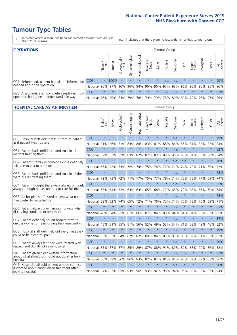- \* Indicates where a score has been suppressed because there are less than 21 responses.
- n.a. Indicates that there were no respondents for that tumour group.

| <b>OPERATIONS</b>                                |            |              |               |                   |                   |                   |                  |         | <b>Tumour Group</b> |         |                                         |                 |            |         |                |
|--------------------------------------------------|------------|--------------|---------------|-------------------|-------------------|-------------------|------------------|---------|---------------------|---------|-----------------------------------------|-----------------|------------|---------|----------------|
|                                                  |            | Brain<br>CNS | <b>Breast</b> | Colorectal<br>LGT | ক<br>Gynaecologic | శె<br>Haematologi | Head and<br>Neck | Lung    | Prostate            | Sarcoma | Skin                                    | Upper<br>Gastro | Urological | Other   | All<br>Cancers |
| Q27. Beforehand, patient had all the information | <b>CCG</b> | $\star$      | 100%          | $\star$           | $\star$           | $\star$           | $\star$          | $\star$ | n.a.                | n.a.    | $\star$                                 | $\star$         | $\star$    | $\star$ | 99%            |
| needed about the operation                       | National   | 96%          | 97%           | 96%               |                   |                   |                  |         |                     |         | 96% 94% 96% 95% 97% 95% 96% 96% 95% 95% |                 |            |         | 96%            |
| Q28. Afterwards, staff completely explained how  | <b>CCG</b> | $\star$      | $\star$       | $\star$           | $\star$           | $\star$           | $\star$          | $\star$ | n.a.                | n.a.    | $\star$                                 | $\star$         | $\star$    | $\star$ | 83%            |
| operation had gone in understandable way         | National   | 76%          |               | 79% 83%           |                   |                   | 79%   78%   79%  |         |                     |         | 79% 78% 80% 82% 79% 76% 77%             |                 |            |         | 79%            |

#### **HOSPITAL CARE AS AN INPATIENT THE CARE AS AN INPATIENT Tumour Group** Haematological Gynaecological Gynaecological Haematological Colorectal / Urological Head and Prostate Sarcoma Breast Lung Upper Gastro Other Brain / CNS Neck Skin  $\overline{5}$ ₹  $CCG$  \* \* \* \* \* \* \* \* \* \* \* n.a. \* \* \* \* 79% Q30. Hospital staff didn't talk in front of patient National 81% 86% 81% 83% 84% 83% 81% 88% 86% 86% 81% 83% 82% 84% Q31. Patient had confidence and trust in all CCG \* \* \* \* \* \* \* \* n.a. \* \* \* \* 82% doctors treating them National 82% 83% 85% 83% 82% 87% 83% 89% 86% 85% 81% 85% 80% 84% Q32. Patient's family or someone close definitely CCG \* \* \* \* \* \* \* \* n.a. n.a. \* \* \* 78% felt able to talk to a doctor National 67% 72% 73% 72% 74% 75% 74% 72% 71% 74% 73% 71% 69% 72% Q33. Patient had confidence and trust in all the CCG \* \* \* \* \* \* \* \* n.a. \* \* \* \* 72% ward nurses treating them National 72% 73% 72% 71% 77% 75% 77% 79% 74% 75% 73% 77% 69% 74%  $CCG$  \* \* \* \* \* \* \* \* \* \* \* n.a. \* \* \* \* \* 65% Q34. Patient thought there were always or nearly always enough nurses on duty to care for them National 68% 64% 62% 63% 63% 65% 68% 72% 65% 70% 65% 66% 60% 64%  $CCG$  \* \* \* \* \* \* \* \* \* \* \* n.a. \* \* \* \* 72% Q35. All hospital staff asked patient what name they prefer to be called by National 68% 62% 74% 65% 72% 71% 76% 72% 74% 70% 78% 76% 69% 71% Q36. Patient always given enough privacy when CCG \* \* \* \* \* \* \* \* n.a. \* \* \* \* 83% discussing condition or treatment National 78% 84% 85% 81% 86% 87% 84% 88% 84% 84% 84% 85% 82% 85%  $CCG$  \* \* \* \* \* \* \* \* \* \* \* n.a. \* \* \* \* 37% Q37. Patient definitely found hospital staff to discuss worries or fears during their inpatient visit National 45% 51% 55% 51% 56% 52% 49% 53% 54% 51% 53% 49% 46% 52%  $CCG$  \* \* \* \* \* \* \* \* \* \* \* n.a. \* \* \* \* 79% Q38. Hospital staff definitely did everything they could to help control pain National 85% 83% 84% 82% 82% 80% 84% 85% 83% 85% 82% 81% 82% 83%  $CCG$  \* \* \* \* \* \* \* \* \* \* \* n.a. \* \* \* \* 90% Q39. Patient always felt they were treated with respect and dignity while in hospital National 85% 87% 87% 85% 89% 87% 88% 91% 89% 89% 88% 90% 86% 88% Q40. Patient given clear written information CCG \* \* \* \* \* \* \* \* n.a. n.a. \* \* \* 83% about what should or should not do after leaving hospital National 80% 89% 86% 86% 83% 87% 82% 91% 85% 90% 82% 87% 83% 86% 041. Hospital staff told patient who to contact  $\begin{array}{ccc|ccc}\nCCG & * & * & * & * & * & * & * & n.a. & * & * & * & * \\
\end{array}$ if worried about condition or treatment after leaving hospital National 94% 95% 95% 93% 96% 93% 92% 96% 94% 95% 92% 92% 93% 94%

Cancers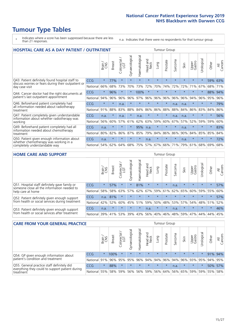- \* Indicates where a score has been suppressed because there are less than 21 responses.
- n.a. Indicates that there were no respondents for that tumour group.

| <b>HOSPITAL CARE AS A DAY PATIENT / OUTPATIENT</b>                     |            |         |               |                         |                |                |                         |         | <b>Tumour Group</b> |                      |         |                 |            |         |                |
|------------------------------------------------------------------------|------------|---------|---------------|-------------------------|----------------|----------------|-------------------------|---------|---------------------|----------------------|---------|-----------------|------------|---------|----------------|
|                                                                        |            | Brain   | <b>Breast</b> | olorectal /<br>LGT<br>Ū | Gynaecological | Haematological | ead and<br>Neck<br>Head | Lung    | Prostate            | arcoma<br>$\sqrt{ }$ | Skin    | Upper<br>Gastro | Urological | Other   | All<br>Cancers |
| Q43. Patient definitely found hospital staff to                        | CCG        | $\star$ | 77%           | $\star$                 | $\star$        | $\star$        | $\star$                 | $\star$ | $\star$             | $\star$              | $\star$ | $\star$         | $\star$    | 59%     | 63%            |
| discuss worries or fears during their outpatient or<br>day case visit  | National   | 66%     | 68%           | 73%                     | 70%            | 73%            | 72%                     | 70%     | 74%                 | 72%                  | 72%     | 71%             | 67%        | 68%     | 71%            |
| Q44. Cancer doctor had the right documents at                          | <b>CCG</b> | $\star$ | 96%           | $\star$                 | $\star$        | 100%           | $\star$                 | $\star$ | $\star$             | $\star$              | $\star$ | $\star$         | $\star$    | 88%     | 94%            |
| patient's last outpatient appointment                                  | National   | 94%     | 96%           | 96%                     | 96%            | 97%            | 96%                     | 96%     | 96%                 | 96%                  | 96%     | 94%             | 96%        | 95%     | 96%            |
| Q46. Beforehand patient completely had                                 | CCG        | $\star$ | $\star$       | n.a.                    | $\star$        |                | $\star$                 | $\star$ | $\star$             | n.a.                 | n.a.    | $\star$         | $\star$    | $\star$ | 79%            |
| all information needed about radiotherapy<br>treatment                 | National   | 91%     | 88%           | 83%                     | 88%            | 84%            | 86%                     | 86%     | 88%                 | 88%                  | 84%     | 86%             | 83%        | 84%     | 86%            |
| Q47. Patient completely given understandable                           | CCG        | n.a.    | $\star$       | n.a.                    | $\star$        | n.a.           | $\star$                 | $\star$ | $\star$             | n.a.                 | n.a.    | $\star$         | $\star$    | $\star$ | 56%            |
| information about whether radiotherapy was<br>working                  | National   | 56%     | 60%           | 57%                     | 61%            | 62%            | 63%                     | 59%     | 60%                 | 67%                  | 57%     | 52%             | 59%        | 59%     | 60%            |
| Q49. Beforehand patient completely had all                             | CCG        | n.a.    | $\star$       | $\star$                 | $\star$        | 95%            | n.a.                    | $\star$ | $\star$             | $\star$              | n.a.    | $\star$         | $\star$    | $\ast$  | 83%            |
| information needed about chemotherapy<br>treatment                     | National   | 80%     | 82%           | 86%                     | 87%            | 85%            | 79%                     | 84%     | 86%                 | 86%                  | 90%     | 84%             | 85%        | 85%     | 84%            |
| Q50. Patient given enough information about                            | <b>CCG</b> | n.a.    | $\star$       | $\star$                 |                | $\star$        | n.a.                    | $\star$ | $\star$             | $\star$              | n.a.    | $\star$         | $\star$    | $\ast$  | 72%            |
| whether chemotherapy was working in a<br>completely understandable way | National   | 54%     | 62%           | 64%                     | 68%            | 75%            |                         | 57% 67% | 66%                 | 71%                  | 79%     | 61%             | 68%        | 69%     | 68%            |

#### **HOME CARE AND SUPPORT** Tumour Group

|                                                                                                                   |            | Brain   | Breast  | Colorectal<br>LGT | ᢛ<br>Gynaecologic | Haematological | Head and<br>Neck | <b>Dung</b>     | Prostate | Sarcoma | Skin    | Upper<br>Gastro | rologica | Other   | All<br>Cancers |
|-------------------------------------------------------------------------------------------------------------------|------------|---------|---------|-------------------|-------------------|----------------|------------------|-----------------|----------|---------|---------|-----------------|----------|---------|----------------|
| Q51. Hospital staff definitely gave family or<br>someone close all the information needed to<br>help care at home | <b>CCG</b> | $\star$ | 57%     | $\star$           | $\star$           | 81%            | $\star$          | $\star$         | $\star$  | n.a.    | $\star$ | $\star$         | $\star$  | $\star$ | 57%            |
|                                                                                                                   | National   | 58%     | 58%     | 63%               | 57%               | 62%            |                  | 67%   59%   61% |          |         | 62% 65% | 60%             | 59% 55%  |         | 60%            |
| Q52. Patient definitely given enough support<br>from health or social services during treatment                   | <b>CCG</b> | n.a.    | 81%     |                   | $\star$           |                | $\star$          | $\star$         | $\star$  |         |         | $\star$         | $\star$  | $\star$ | 57%            |
|                                                                                                                   | National   | 42%     | 52%     | 60%               |                   | 45% 51%        | 59%              | 50%             | 48%      |         | 53% 57% | 54%             | 48% 51%  |         | 52%            |
| Q53. Patient definitely given enough support<br>from health or social services after treatment                    | <b>CCG</b> | n.a.    | $\star$ | $\star$           | $\star$           | $\star$        | n.a.             | $\star$         | $\star$  | n.a.    |         | $\star$         | $\star$  | $\star$ | 46%            |
|                                                                                                                   | National   | 39%     | 41% 53% |                   | 39%               | 43%            | 56%              | 40%             | 46%      | 48%     | 59%     | 47%             | 44%      | 44%     | 45%            |

| <b>CARE FROM YOUR GENERAL PRACTICE</b>                                                                     |            |         |               |                   |                |                                     | Tumour Group     |         |                 |         |         |                 |            |         |                |
|------------------------------------------------------------------------------------------------------------|------------|---------|---------------|-------------------|----------------|-------------------------------------|------------------|---------|-----------------|---------|---------|-----------------|------------|---------|----------------|
|                                                                                                            |            | Brain   | <b>Breast</b> | Colorectal<br>LGT | Gynaecological | $\overline{\sigma}$<br>Haematologic | Head and<br>Neck | Lung    | Prostate        | Sarcoma | Skin    | Upper<br>Gastro | Jrological | Other   | All<br>Cancers |
| Q54. GP given enough information about<br>patient's condition and treatment                                | <b>CCG</b> | $\star$ | 100%          | $\star$           | $\star$        | $\star$                             | $\star$          | $\star$ | $\star$         | $\star$ | $\star$ | $\star$         |            | 91% 94% |                |
|                                                                                                            | National   | 91%     |               | 96% 95%           | 95%            |                                     |                  |         | 96% 94% 94% 96% |         | 94% 96% |                 | 93% 95%    | 94% 95% |                |
| Q55. General practice staff definitely did<br>everything they could to support patient during<br>treatment | CCG        | $\star$ | 88%           | $\star$           | $\star$        | $\star$                             | $\star$          | $\star$ | $\star$         | n.a.    | $\star$ | $\star$         |            | 50% 57% |                |
|                                                                                                            | National   | 55%     |               | 58% 59%           | 56%            |                                     | 56% 59%          |         | 56% 64%         |         | 56% 65% | 59%   59%   55% |            |         | 58%            |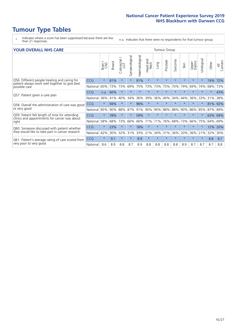- \* Indicates where a score has been suppressed because there are less than 21 responses.
- n.a. Indicates that there were no respondents for that tumour group.

#### **YOUR OVERALL NHS CARE** THE TWO CONTROLLER THE THE THEORY OF THE THEORY OF THE TUMOUR Group

|                                                                                                                  |            | Brain<br>CNS | <b>Breast</b> | Colorectal<br>LGT | Gynaecological | Haematological | Head and<br>Neck | Lung    | Prostate | Sarcoma | Skin    | Upper<br>Gastro | लु<br>Urologic | Other   | All<br>Cancers |
|------------------------------------------------------------------------------------------------------------------|------------|--------------|---------------|-------------------|----------------|----------------|------------------|---------|----------|---------|---------|-----------------|----------------|---------|----------------|
| Q56. Different people treating and caring for<br>patient always work well together to give best<br>possible care | <b>CCG</b> | $\star$      | 81%           | $\star$           | $\star$        | 91%            | $\star$          | $\star$ | $\star$  | $\star$ | $\star$ | $\star$         | $\star$        | 74%     | 72%            |
|                                                                                                                  | National   | 60%          | 73%           | 73%               | 69%            | 75%            | 73%              | 73%     | 75%      | 70%     | 79%     | 69%             | 74%            | 68%     | 73%            |
| Q57. Patient given a care plan                                                                                   | <b>CCG</b> | n.a.         | 60%           | $\star$           | $\star$        |                | $\star$          | $\star$ | $\star$  | $\star$ | $\star$ | $\star$         | $\star$        | $\ast$  | 43%            |
|                                                                                                                  | National   | 36%          | 41%           | 40%               | 34%            | 36%            | 39%              | 36%     | 40%      | 34%     | 44%     | 36%             | 33%            | 31%     | 38%            |
| Q58. Overall the administration of care was good<br>or very good                                                 | <b>CCG</b> | $\star$      | 94%           |                   |                | 96%            | $\star$          |         | $\star$  | $\star$ |         | $\star$         |                | 81%     | 92%            |
|                                                                                                                  | National   | 85%          | 90%           | 88%               | 87%            | 91%            | 90%              | 90%     | 88%      | 88%     | 90%     | 86%             | 85%            | 87%     | 89%            |
| Q59. Patient felt length of time for attending<br>clinics and appointments for cancer was about<br>right         | <b>CCG</b> | $\star$      | 78%           | $\star$           | $\star$        | 59%            | $\ast$           | $\star$ | $\star$  | $\star$ | $\star$ | $\star$         | $\star$        | 63% 69% |                |
|                                                                                                                  | National   | 58%          | 68%           | 73%               | 66%            | 66%            | 71%              | 71%     | 76%      | 68%     | 73%     | 66%             | 75%            | 64%     | 69%            |
| Q60. Someone discussed with patient whether<br>they would like to take part in cancer research                   | <b>CCG</b> | $\star$      | 23%           |                   |                | 18%            | $\star$          | $\star$ | $\star$  | $\star$ | $\star$ | $\star$         |                | 12%     | 20%            |
|                                                                                                                  | National   | 42%          | 30%           | 32%               | 31%            | 33%            | 21%              | 34%     | 31%      | 36%     | 20%     | 36%             | 21%            | 32%     | 30%            |
| Q61. Patient's average rating of care scored from<br>very poor to very good                                      | <b>CCG</b> | $\star$      | 9.1           | $\star$           | $\star$        | 8.9            | $\star$          | $\star$ | $\star$  | $\star$ | $\star$ | $\star$         | $\star$        | 8.8     | 8.7            |
|                                                                                                                  | National   | 8.6          | 8.9           | 8.8               | 8.7            | 8.9            | 8.8              | 8.8     | 8.8      | 8.8     | 8.9     | 8.7             | 8.7            | 8.7     | 8.8            |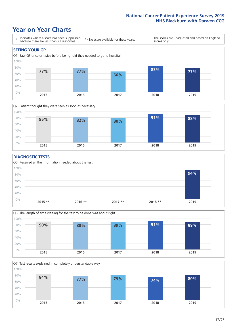### **Year on Year Charts**





#### **DIAGNOSTIC TESTS**





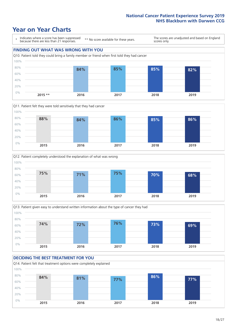## **Year on Year Charts**

0%









**2015 2016 2017 2018 2019**

#### **DECIDING THE BEST TREATMENT FOR YOU** Q14. Patient felt that treatment options were completely explained 20% 40% 60% 80% 100% **84% 81% 77% 86% 77%**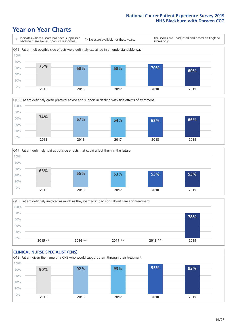### **Year on Year Charts**







Q18. Patient definitely involved as much as they wanted in decisions about care and treatment  $0%$ 20% 40% 60% 80% 100% **2015 \*\* 2016 \*\* 2017 \*\* 2018 \*\* 2019 78%**

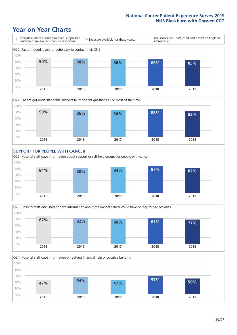### **Year on Year Charts**











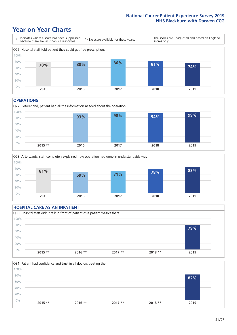### **Year on Year Charts**



#### **OPERATIONS**





#### **HOSPITAL CARE AS AN INPATIENT** Q30. Hospital staff didn't talk in front of patient as if patient wasn't there 0% 20% 40% 60% 80% 100% **2015 \*\* 2016 \*\* 2017 \*\* 2018 \*\* 2019 79%**

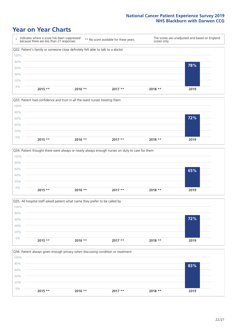### **Year on Year Charts**









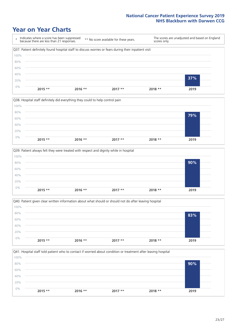### **Year on Year Charts**









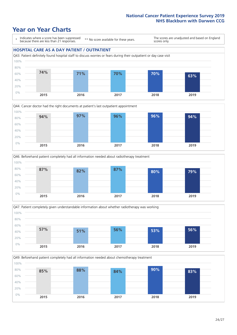### **Year on Year Charts**

\* Indicates where a score has been suppressed because there are less than 21 responses.

\*\* No score available for these years.

The scores are unadjusted and based on England scores only.

#### **HOSPITAL CARE AS A DAY PATIENT / OUTPATIENT**









Q49. Beforehand patient completely had all information needed about chemotherapy treatment

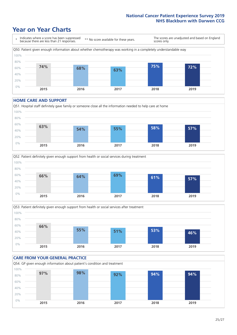## **Year on Year Charts**



#### **HOME CARE AND SUPPORT**







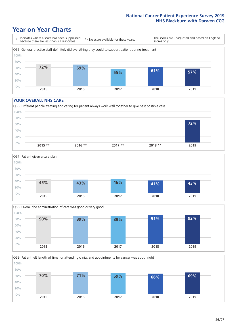## **Year on Year Charts**

\* Indicates where a score has been suppressed because there are less than 21 responses. \*\* No score available for these years. The scores are unadjusted and based on England scores only. Q55. General practice staff definitely did everything they could to support patient during treatment 0% 20% 40% 60% 80% 100% **2015 2016 2017 2018 2019 72% 69% 55% 61% 57%**

#### **YOUR OVERALL NHS CARE**







Q59. Patient felt length of time for attending clinics and appointments for cancer was about right